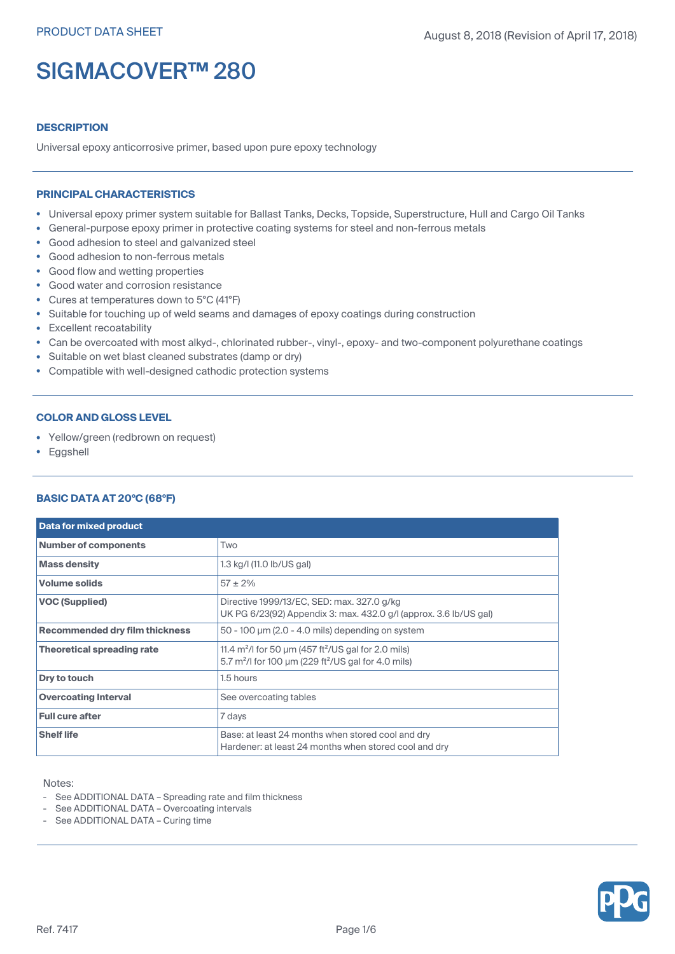## **DESCRIPTION**

Universal epoxy anticorrosive primer, based upon pure epoxy technology

#### **PRINCIPAL CHARACTERISTICS**

- Universal epoxy primer system suitable for Ballast Tanks, Decks, Topside, Superstructure, Hull and Cargo Oil Tanks
- General-purpose epoxy primer in protective coating systems for steel and non-ferrous metals
- Good adhesion to steel and galvanized steel
- Good adhesion to non-ferrous metals
- Good flow and wetting properties
- Good water and corrosion resistance
- Cures at temperatures down to 5°C (41°F)
- Suitable for touching up of weld seams and damages of epoxy coatings during construction
- Excellent recoatability
- Can be overcoated with most alkyd-, chlorinated rubber-, vinyl-, epoxy- and two-component polyurethane coatings
- Suitable on wet blast cleaned substrates (damp or dry)
- Compatible with well-designed cathodic protection systems

## **COLOR AND GLOSS LEVEL**

- Yellow/green (redbrown on request)
- Eggshell

## **BASIC DATA AT 20°C (68°F)**

| Data for mixed product                |                                                                                                                                  |  |  |  |
|---------------------------------------|----------------------------------------------------------------------------------------------------------------------------------|--|--|--|
| <b>Number of components</b>           | Two                                                                                                                              |  |  |  |
| <b>Mass density</b>                   | 1.3 kg/l (11.0 lb/US gal)                                                                                                        |  |  |  |
| <b>Volume solids</b>                  | $57 \pm 2\%$                                                                                                                     |  |  |  |
| <b>VOC (Supplied)</b>                 | Directive 1999/13/EC, SED: max. 327.0 g/kg<br>UK PG 6/23(92) Appendix 3: max. 432.0 g/l (approx. 3.6 lb/US gal)                  |  |  |  |
| <b>Recommended dry film thickness</b> | $50 - 100$ $\mu$ m (2.0 - 4.0 mils) depending on system                                                                          |  |  |  |
| <b>Theoretical spreading rate</b>     | 11.4 $m^2$ /l for 50 µm (457 ft <sup>2</sup> /US gal for 2.0 mils)<br>5.7 $m^2$ /I for 100 µm (229 ft $^2$ /US gal for 4.0 mils) |  |  |  |
| Dry to touch                          | 1.5 hours                                                                                                                        |  |  |  |
| <b>Overcoating Interval</b>           | See overcoating tables                                                                                                           |  |  |  |
| <b>Full cure after</b>                | 7 days                                                                                                                           |  |  |  |
| <b>Shelf life</b>                     | Base: at least 24 months when stored cool and dry<br>Hardener: at least 24 months when stored cool and dry                       |  |  |  |

Notes:

- See ADDITIONAL DATA Spreading rate and film thickness
- See ADDITIONAL DATA Overcoating intervals
- See ADDITIONAL DATA Curing time

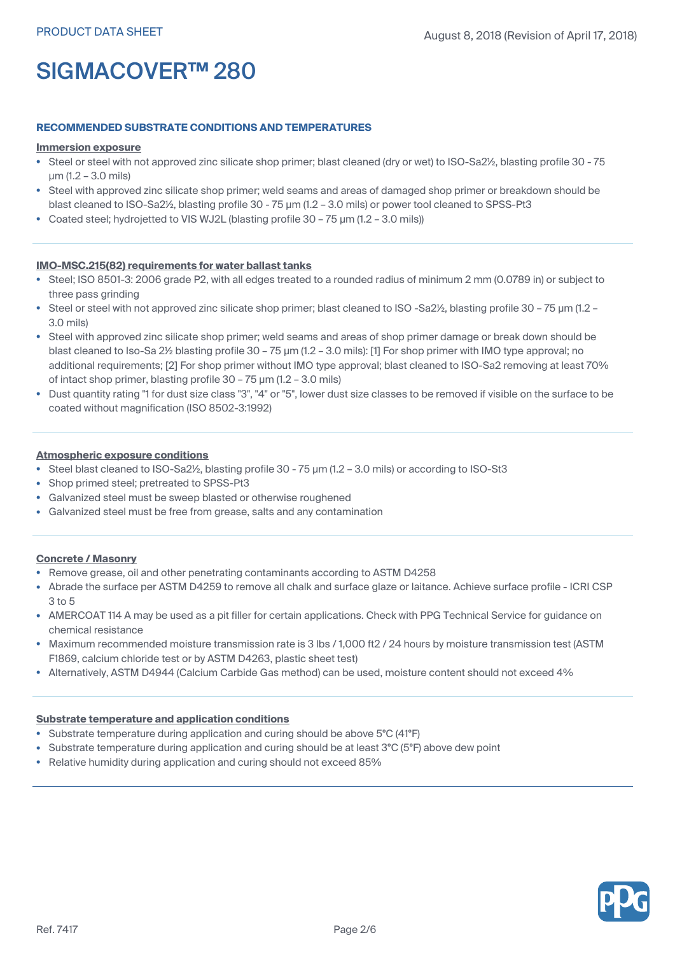## **RECOMMENDED SUBSTRATE CONDITIONS AND TEMPERATURES**

#### **Immersion exposure**

- Steel or steel with not approved zinc silicate shop primer; blast cleaned (dry or wet) to ISO-Sa2½, blasting profile 30 75 µm (1.2 – 3.0 mils)
- • Steel with approved zinc silicate shop primer; weld seams and areas of damaged shop primer or breakdown should be blast cleaned to ISO-Sa2½, blasting profile 30 - 75  $\mu$ m (1.2 - 3.0 mils) or power tool cleaned to SPSS-Pt3
- Coated steel; hydrojetted to VIS WJ2L (blasting profile 30 75 µm (1.2 3.0 mils))

## **IMO-MSC.215(82) requirements for water ballast tanks**

- Steel; ISO 8501-3: 2006 grade P2, with all edges treated to <sup>a</sup> rounded radius of minimum 2 mm (0.0789 in) or subject to three pass grinding
- Steel or steel with not approved zinc silicate shop primer; blast cleaned to ISO -Sa2½, blasting profile 30 75 µm (1.2 3.0 mils)
- Steel with approved zinc silicate shop primer; weld seams and areas of shop primer damage or break down should be blast cleaned to Iso-Sa 2½ blasting profile 30 – 75 µm (1.2 – 3.0 mils): [1] For shop primer with IMO type approval; no additional requirements; [2] For shop primer without IMO type approval; blast cleaned to ISO-Sa2 removing at least 70% of intact shop primer, blasting profile 30 – 75 µm (1.2 – 3.0 mils)
- • Dust quantity rating "1 for dust size class "3", "4" or "5", lower dust size classes to be removed if visible on the surface to be coated without magnification (ISO 8502-3:1992)

## **Atmospheric exposure conditions**

- Steel blast cleaned to ISO-Sa2½, blasting profile 30 75 µm (1.2 3.0 mils) or according to ISO-St3
- Shop primed steel; pretreated to SPSS-Pt3
- Galvanized steel must be sweep blasted or otherwise roughened
- Galvanized steel must be free from grease, salts and any contamination

#### **Concrete / Masonry**

- Remove grease, oil and other penetrating contaminants according to ASTM D4258
- Abrade the surface per ASTM D4259 to remove all chalk and surface glaze or laitance. Achieve surface profile ICRI CSP 3 to 5
- AMERCOAT 114 A may be used as <sup>a</sup> pit filler for certain applications. Check with PPG Technical Service for guidance on chemical resistance
- Maximum recommended moisture transmission rate is 3 lbs / 1,000 ft2 / 24 hours by moisture transmission test (ASTM F1869, calcium chloride test or by ASTM D4263, plastic sheet test)
- Alternatively, ASTM D4944 (Calcium Carbide Gas method) can be used, moisture content should not exceed 4%

#### **Substrate temperature and application conditions**

- Substrate temperature during application and curing should be above 5°C (41°F)
- Substrate temperature during application and curing should be at least 3°C (5°F) above dew point
- •Relative humidity during application and curing should not exceed 85%

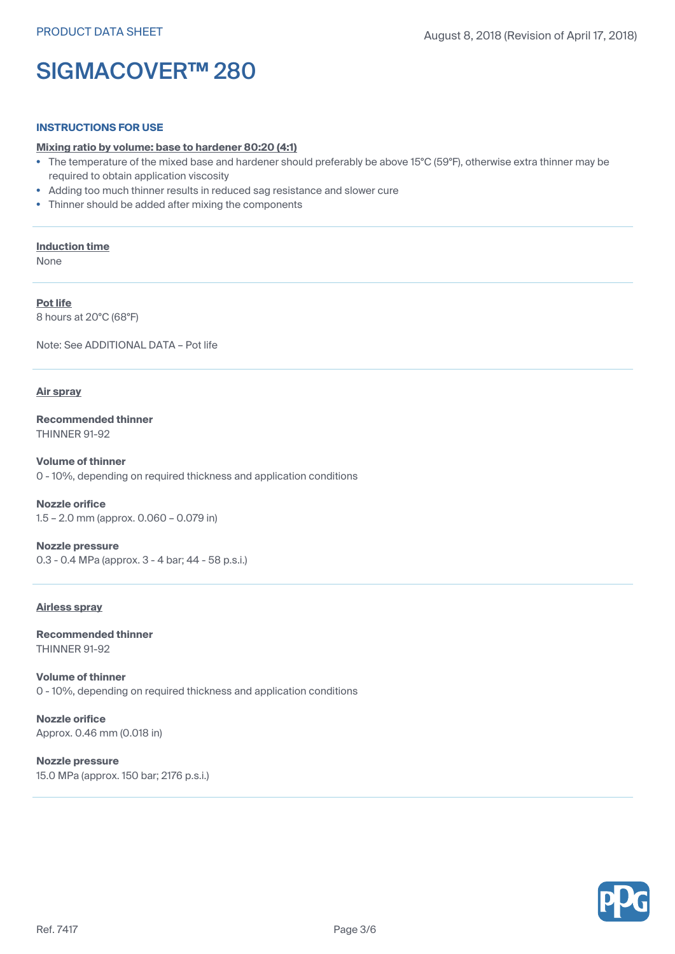#### **INSTRUCTIONS FOR USE**

#### **Mixing ratio by volume: base to hardener 80:20 (4:1)**

- The temperature of the mixed base and hardener should preferably be above 15°C (59°F), otherwise extra thinner may be required to obtain application viscosity
- •Adding too much thinner results in reduced sag resistance and slower cure
- Thinner should be added after mixing the components

#### **Induction time**

None

**Pot life** 8 hours at 20°C (68°F)

Note: See ADDITIONAL DATA – Pot life

## **Air spray**

**Recommended thinner** THINNER 91-92

**Volume of thinner** 0 - 10%, depending on required thickness and application conditions

**Nozzle orifice** 1.5 – 2.0 mm (approx. 0.060 – 0.079 in)

**Nozzle pressure** 0.3 - 0.4 MPa (approx. 3 - 4 bar; 44 - 58 p.s.i.)

#### **Airless spray**

**Recommended thinner** THINNER 91-92

**Volume of thinner** 0 - 10%, depending on required thickness and application conditions

**Nozzle orifice** Approx. 0.46 mm (0.018 in)

**Nozzle pressure** 15.0 MPa (approx. 150 bar; 2176 p.s.i.)

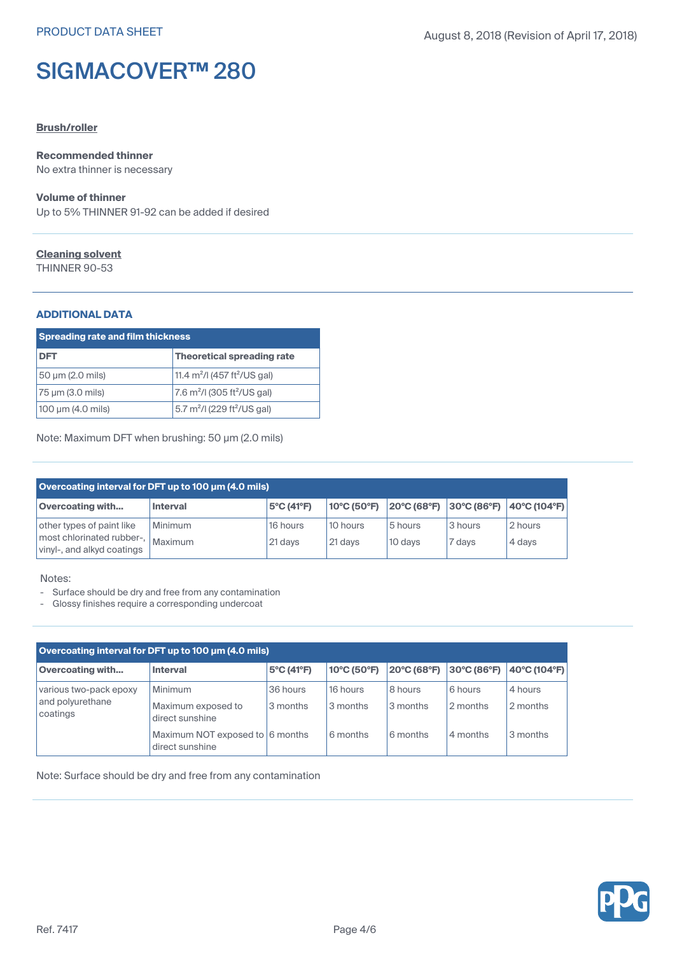## **Brush/roller**

## **Recommended thinner**

No extra thinner is necessary

## **Volume of thinner**

Up to 5% THINNER 91-92 can be added if desired

## **Cleaning solvent**

THINNER 90-53

## **ADDITIONAL DATA**

| <b>Spreading rate and film thickness</b> |                                                     |  |  |
|------------------------------------------|-----------------------------------------------------|--|--|
| DFT                                      | Theoretical spreading rate                          |  |  |
| 50 µm (2.0 mils)                         | 11.4 $m^2$ /I (457 ft <sup>2</sup> /US gal)         |  |  |
| 75 µm (3.0 mils)                         | 7.6 $m^2$ /I (305 ft <sup>2</sup> /US gal)          |  |  |
| 100 $\mu$ m (4.0 mils)                   | 5.7 m <sup>2</sup> /l (229 ft <sup>2</sup> /US gal) |  |  |

Note: Maximum DFT when brushing: 50 µm (2.0 mils)

| Overcoating interval for DFT up to 100 µm (4.0 mils)                                 |                           |                     |                       |                                                       |                   |                   |
|--------------------------------------------------------------------------------------|---------------------------|---------------------|-----------------------|-------------------------------------------------------|-------------------|-------------------|
| <b>Overcoating with</b>                                                              | <b>Interval</b>           | 5°C (41°F)          | 10°C (50°F)           | $ 20^{\circ}C(68^{\circ}F) 30^{\circ}C(86^{\circ}F) $ |                   | 40°C (104°F)      |
| other types of paint like<br>most chlorinated rubber-,<br>vinyl-, and alkyd coatings | <b>Minimum</b><br>Maximum | 16 hours<br>21 days | 10 hours<br>$21$ days | 5 hours<br>10 days                                    | 3 hours<br>7 days | 2 hours<br>4 days |

Notes:

- Surface should be dry and free from any contamination
- Glossy finishes require <sup>a</sup> corresponding undercoat

| Overcoating interval for DFT up to 100 µm (4.0 mils)   |                                                    |                      |                      |                     |                     |                     |
|--------------------------------------------------------|----------------------------------------------------|----------------------|----------------------|---------------------|---------------------|---------------------|
| <b>Overcoating with</b>                                | <b>Interval</b>                                    | 5°C (41°F)           | 10°C (50°F)          | 20°C (68°F)         | 30°C (86°F)         | 40°C (104°F)        |
| various two-pack epoxy<br>and polyurethane<br>coatings | Minimum<br>Maximum exposed to<br>direct sunshine   | 36 hours<br>3 months | 16 hours<br>3 months | 8 hours<br>3 months | 6 hours<br>2 months | 4 hours<br>2 months |
|                                                        | Maximum NOT exposed to 6 months<br>direct sunshine |                      | 6 months             | 6 months            | 4 months            | 3 months            |

Note: Surface should be dry and free from any contamination

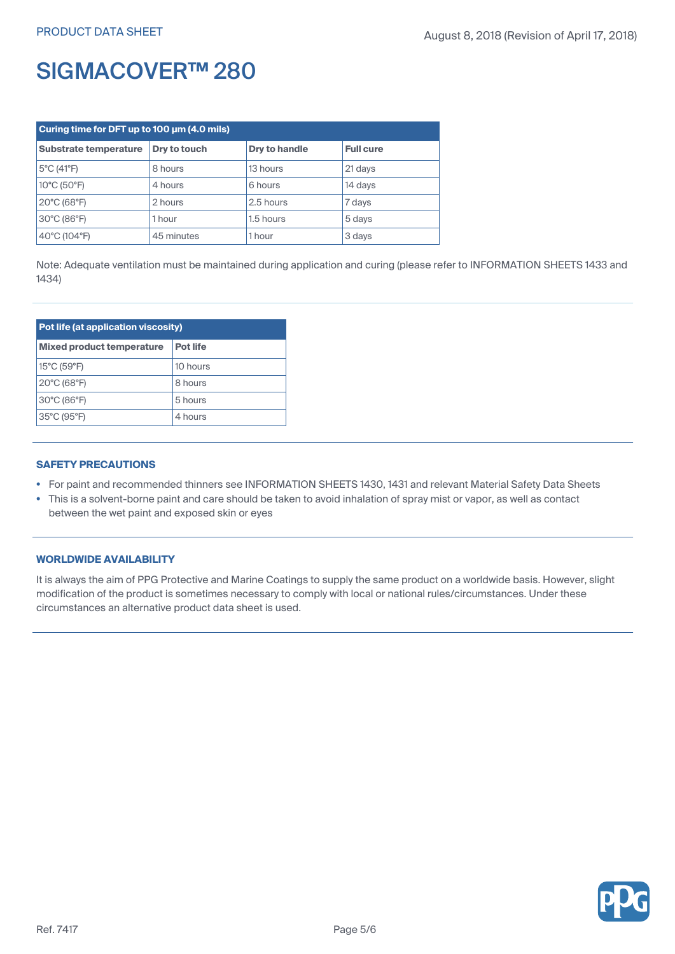| Curing time for DFT up to 100 um (4.0 mils) |              |                      |                  |  |
|---------------------------------------------|--------------|----------------------|------------------|--|
| Substrate temperature                       | Dry to touch | <b>Dry to handle</b> | <b>Full cure</b> |  |
| 5°C (41°F)                                  | 8 hours      | 13 hours             | 21 days          |  |
| 10°C (50°F)                                 | 4 hours      | 6 hours              | 14 days          |  |
| 20°C (68°F)                                 | 2 hours      | 2.5 hours            | 7 days           |  |
| 30°C (86°F)                                 | 1 hour       | 1.5 hours            | 5 days           |  |
| 40°C (104°F)                                | 45 minutes   | 1 hour               | 3 days           |  |

Note: Adequate ventilation must be maintained during application and curing (please refer to INFORMATION SHEETS 1433 and 1434)

| Pot life (at application viscosity) |                 |  |
|-------------------------------------|-----------------|--|
| <b>Mixed product temperature</b>    | <b>Pot life</b> |  |
| 15°C (59°F)                         | 10 hours        |  |
| $20^{\circ}$ C (68 $^{\circ}$ F)    | 8 hours         |  |
| 30°C (86°F)                         | 5 hours         |  |
| 35°C (95°F)                         | 4 hours         |  |

## **SAFETY PRECAUTIONS**

- For paint and recommended thinners see INFORMATION SHEETS 1430, 1431 and relevant Material Safety Data Sheets
- This is <sup>a</sup> solvent-borne paint and care should be taken to avoid inhalation of spray mist or vapor, as well as contact between the wet paint and exposed skin or eyes

## **WORLDWIDE AVAILABILITY**

It is always the aim of PPG Protective and Marine Coatings to supply the same product on <sup>a</sup> worldwide basis. However, slight modification of the product is sometimes necessary to comply with local or national rules/circumstances. Under these circumstances an alternative product data sheet is used.